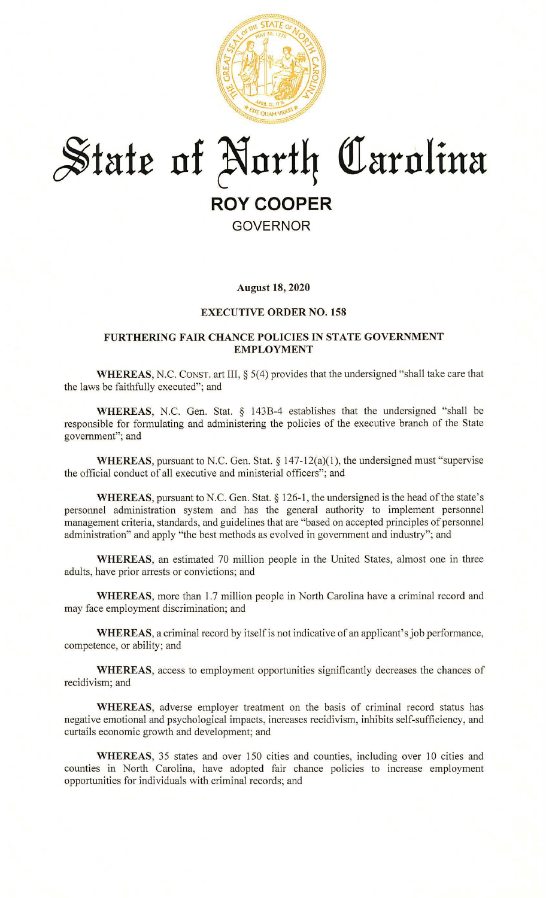

# $*$ *State of North Carolina*

## **ROY COOPER**

### **GOVERNOR**

#### **August 18, 2020**

#### **EXECUTIVE ORDER NO. 158**

#### **FURTHERING FAIR CHANCE POLICIES IN STATE GOVERNMENT EMPLOYMENT**

**WHEREAS,** N.C. CONST. art III,§ 5(4) provides that the undersigned "shall take care that the laws be faithfully executed"; and

**WHEREAS,** N.C. Gen. Stat. § 143B-4 establishes that the undersigned "shall be responsible for formulating and administering the policies of the executive branch of the State government"; and

**WHEREAS, pursuant to N.C. Gen. Stat.** § 147-12(a)(1), the undersigned must "supervise the official conduct of all executive and ministerial officers"; and

WHEREAS, pursuant to N.C. Gen. Stat. § 126-1, the undersigned is the head of the state's personnel administration system and has the general authority to implement personnel management criteria, standards, and guidelines that are "based on accepted principles of personnel administration" and apply "the best methods as evolved in government and industry"; and

**WHEREAS,** an estimated 70 million people in the United States, almost one in three adults, have prior arrests or convictions; and

**WHEREAS,** more than 1.7 million people in North Carolina have a criminal record and may face employment discrimination; and

WHEREAS, a criminal record by itself is not indicative of an applicant's job performance, competence, or ability; and

**WHEREAS,** access to employment opportunities significantly decreases the chances of recidivism; and

**WHEREAS,** adverse employer treatment on the basis of criminal record status has negative emotional and psychological impacts, increases recidivism, inhibits self-sufficiency, and curtails economic growth and development; and

**WHEREAS,** 35 states and over 150 cities and counties, including over 10 cities and counties in North Carolina, have adopted fair chance policies to increase employment opportunities for individuals with criminal records; and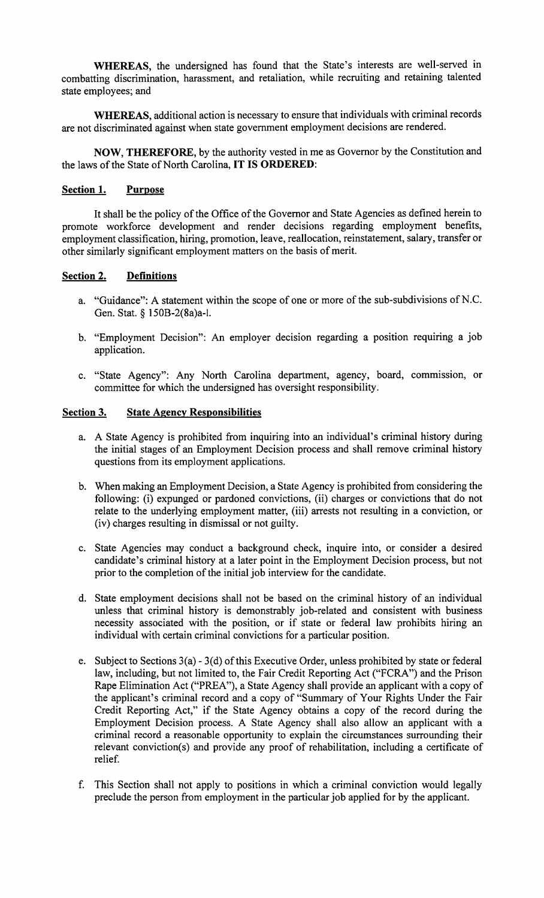**WHEREAS,** the undersigned has found that the State's interests are well-served in combatting discrimination, harassment, and retaliation, while recruiting and retaining talented state employees; and

**WHEREAS,** additional action is necessary to ensure that individuals with criminal records are not discriminated against when state government employment decisions are rendered.

**NOW, THEREFORE,** by the authority vested in me as Governor by the Constitution and the laws of the State of North Carolina, **IT IS ORDERED:** 

#### **Section 1. Purpose**

It shall be the policy of the Office of the Governor and State Agencies as defined herein to promote workforce development and render decisions regarding employment benefits, employment classification, hiring, promotion, leave, reallocation, reinstatement, salary, transfer or other similarly significant employment matters on the basis of merit.

#### **Section 2. Definitions**

- a. "Guidance": A statement within the scope of one or more of the sub-subdivisions of N.C. Gen. Stat. § 150B-2(8a)a-l.
- b. "Employment Decision": An employer decision regarding a position requiring a job application.
- c. "State Agency": Any North Carolina department, agency, board, commission, or committee for which the undersigned has oversight responsibility.

#### **Section 3. State Agency Responsibilities**

- a. A State Agency is prohibited from inquiring into an individual's criminal history during the initial stages of an Employment Decision process and shall remove criminal history questions from its employment applications.
- b. When making an Employment Decision, a State Agency is prohibited from considering the following: (i) expunged or pardoned convictions, (ii) charges or convictions that do not relate to the underlying employment matter, (iii) arrests not resulting in a conviction, or (iv) charges resulting in dismissal or not guilty.
- c. State Agencies may conduct a background check, inquire into, or consider a desired candidate's criminal history at a later point in the Employment Decision process, but not prior to the completion of the initial job interview for the candidate.
- d. State employment decisions shall not be based on the criminal history of an individual unless that criminal history is demonstrably job-related and consistent with business necessity associated with the position, or if state or federal law prohibits hiring an individual with certain criminal convictions for a particular position.
- e. Subject to Sections  $3(a) 3(d)$  of this Executive Order, unless prohibited by state or federal law, including, but not limited to, the Fair Credit Reporting Act ("FCRA") and the Prison Rape Elimination Act ("PREA''), a State Agency shall provide an applicant with a copy of the applicant's criminal record and a copy of "Summary of Your Rights Under the Fair Credit Reporting Act," if the State Agency obtains a copy of the record during the Employment Decision process. A State Agency shall also allow an applicant with a criminal record a reasonable opportunity to explain the circumstances surrounding their relevant conviction(s) and provide any proof of rehabilitation, including a certificate of relief.
- f. This Section shall not apply to positions in which a criminal conviction would legally preclude the person from employment in the particular job applied for by the applicant.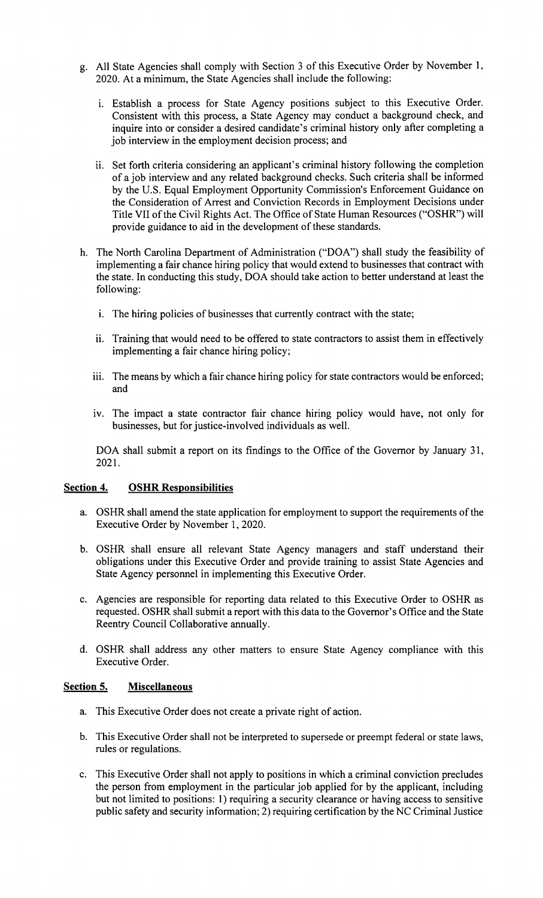- g. All State Agencies shall comply with Section 3 of this Executive Order by November 1, 2020. At a minimum, the State Agencies shall include the following:
	- i. Establish a process for State Agency positions subject to this Executive Order. Consistent with this process, a State Agency may conduct a background check, and inquire into or consider a desired candidate's criminal history only after completing a job interview in the employment decision process; and
	- 11. Set forth criteria considering an applicant's criminal history following the completion of a job interview and any related background checks. Such criteria shall be informed by the U.S. Equal Employment Opportunity Commission's Enforcement Guidance on the Consideration of Arrest and Conviction Records in Employment Decisions under Title VII of the Civil Rights Act. The Office of State Human Resources ("OSHR") will provide guidance to aid in the development of these standards.
- h. The North Carolina Department of Administration ("DOA") shall study the feasibility of implementing a fair chance hiring policy that would extend to businesses that contract with the state. In conducting this study, DOA should take action to better understand at least the following:
	- i. The hiring policies of businesses that currently contract with the state;
	- ii. Training that would need to be offered to state contractors to assist them in effectively implementing a fair chance hiring policy;
	- iii. The means by which a fair chance hiring policy for state contractors would be enforced; and
	- iv. The impact a state contractor fair chance hiring policy would have, not only for businesses, but for justice-involved individuals as well.

DOA shall submit a report on its findings to the Office of the Governor by January 31, 2021.

#### **Section 4. OSHR Responsibilities**

- a. OSHR shall amend the state application for employment to support the requirements of the Executive Order by November 1, 2020.
- b. OSHR shall ensure all relevant State Agency managers and staff understand their obligations under this Executive Order and provide training to assist State Agencies and State Agency personnel in implementing this Executive Order.
- c. Agencies are responsible for reporting data related to this Executive Order to OSHR as requested. OSHR shall submit a report with this data to the Governor's Office and the State Reentry Council Collaborative annually.
- d. OSHR shall address any other matters to ensure State Agency compliance with this Executive Order.

#### **Section 5. Miscellaneous**

- a. This Executive Order does not create a private right of action.
- b. This Executive Order shall not be interpreted to supersede or preempt federal or state laws, rules or regulations.
- c. This Executive Order shall not apply to positions in which a criminal conviction precludes the person from employment in the particular job applied for by the applicant, including but not limited to positions: 1) requiring a security clearance or having access to sensitive public safety and security information; 2) requiring certification by the NC Criminal Justice